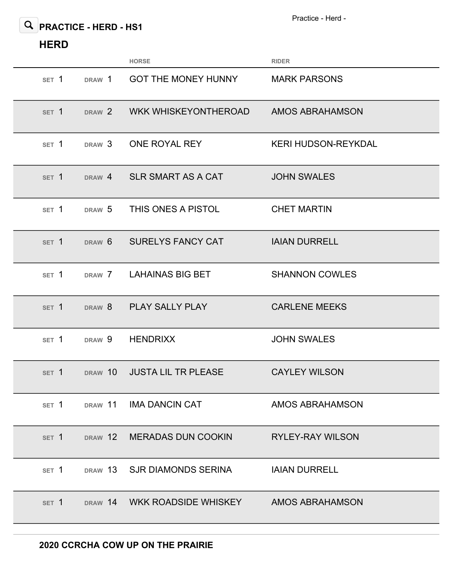Practice - Herd -

## **PRACTICE - HERD - HS1**

## **HERD**

|                  |                   | <b>HORSE</b>                 | <b>RIDER</b>               |
|------------------|-------------------|------------------------------|----------------------------|
| SET <sub>1</sub> | DRAW 1            | <b>GOT THE MONEY HUNNY</b>   | <b>MARK PARSONS</b>        |
| SET 1            | DRAW 2            | <b>WKK WHISKEYONTHEROAD</b>  | AMOS ABRAHAMSON            |
| SET 1            | DRAW <sub>3</sub> | ONE ROYAL REY                | <b>KERI HUDSON-REYKDAL</b> |
| SET <sub>1</sub> | DRAW 4            | SLR SMART AS A CAT           | <b>JOHN SWALES</b>         |
| SET <sub>1</sub> | DRAW <sub>5</sub> | THIS ONES A PISTOL           | <b>CHET MARTIN</b>         |
| SET <sub>1</sub> | DRAW 6            | <b>SURELYS FANCY CAT</b>     | <b>IAIAN DURRELL</b>       |
| SET <sub>1</sub> | DRAW 7            | LAHAINAS BIG BET             | <b>SHANNON COWLES</b>      |
| SET 1            | DRAW <sub>8</sub> | <b>PLAY SALLY PLAY</b>       | <b>CARLENE MEEKS</b>       |
| SET 1            | DRAW 9            | <b>HENDRIXX</b>              | <b>JOHN SWALES</b>         |
| SET <sub>1</sub> | DRAW 10           | <b>JUSTA LIL TR PLEASE</b>   | <b>CAYLEY WILSON</b>       |
| SET <sub>1</sub> | DRAW 11           | <b>IMA DANCIN CAT</b>        | <b>AMOS ABRAHAMSON</b>     |
| SET 1            |                   | DRAW 12 MERADAS DUN COOKIN   | <b>RYLEY-RAY WILSON</b>    |
| SET 1            | DRAW 13           | SJR DIAMONDS SERINA          | <b>IAIAN DURRELL</b>       |
| SET <sub>1</sub> |                   | DRAW 14 WKK ROADSIDE WHISKEY | <b>AMOS ABRAHAMSON</b>     |
|                  |                   |                              |                            |